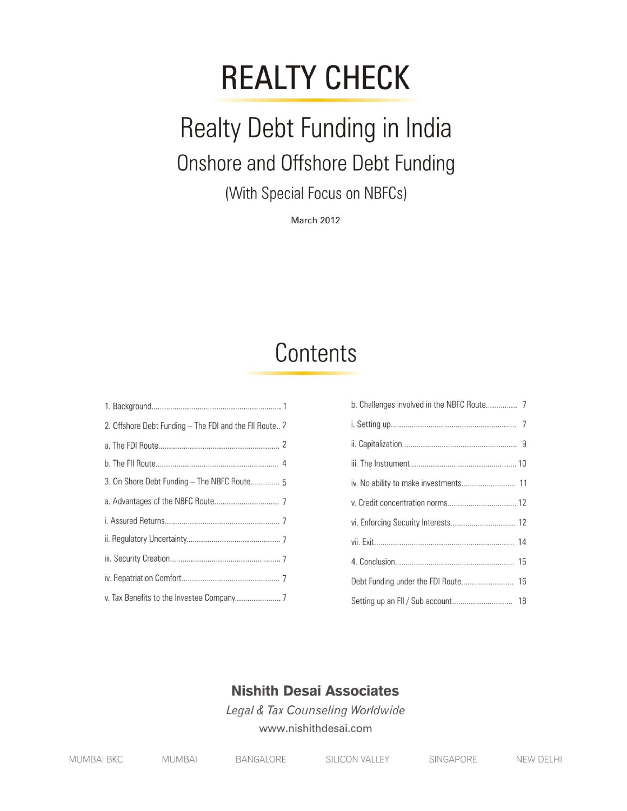# **REALTY CHECK**

## Realty Debt Funding in India Onshore and Offshore Debt Funding

(With Special Focus on NBFCs)

**March 2012** 

### Contents

| 2. Offshore Debt Funding - The FDI and the FII Route 2 |
|--------------------------------------------------------|
|                                                        |
|                                                        |
| 3. On Shore Debt Funding - The NBFC Route 5            |
|                                                        |
|                                                        |
|                                                        |
|                                                        |
|                                                        |
|                                                        |

| b. Challenges involved in the NBFC Route 7 |
|--------------------------------------------|
|                                            |
|                                            |
|                                            |
|                                            |
|                                            |
|                                            |
|                                            |
|                                            |
|                                            |
|                                            |

### **Nishith Desai Associates**

Legal & Tax Counseling Worldwide www.nishithdesai.com

| <b>MUMBAI BKC</b> | MUMBAL | <b>BANGALORE</b> | <b>SILICON VALLEY</b> | SINGAPORE | NEW DELH |
|-------------------|--------|------------------|-----------------------|-----------|----------|
|                   |        |                  |                       |           |          |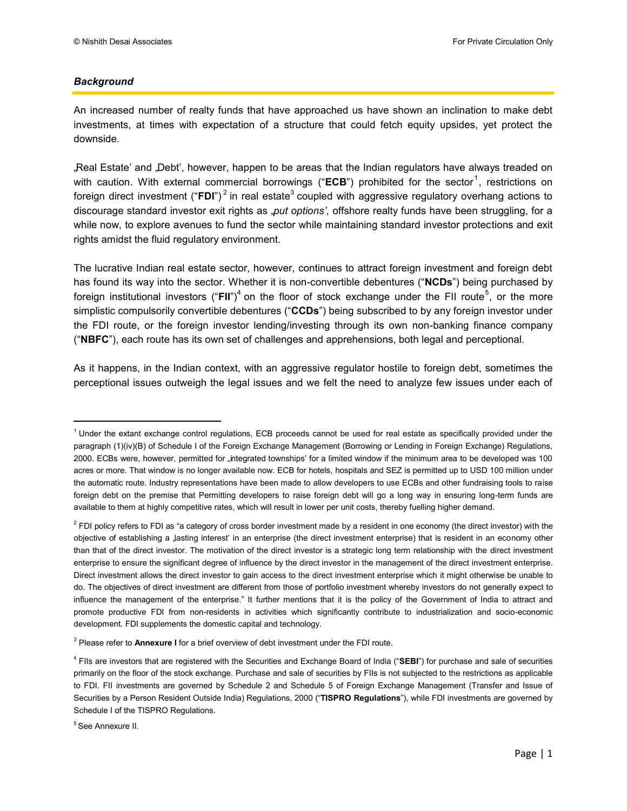#### *Background*

An increased number of realty funds that have approached us have shown an inclination to make debt investments, at times with expectation of a structure that could fetch equity upsides, yet protect the downside.

Real Estate' and ,Debt', however, happen to be areas that the Indian regulators have always treaded on with caution. With external commercial borrowings ("ECB") prohibited for the sector<sup>1</sup>, restrictions on foreign direct investment ("FDI")<sup>2</sup> in real estate<sup>3</sup> coupled with aggressive regulatory overhang actions to discourage standard investor exit rights as "*put options"*, offshore realty funds have been struggling, for a while now, to explore avenues to fund the sector while maintaining standard investor protections and exit rights amidst the fluid regulatory environment.

The lucrative Indian real estate sector, however, continues to attract foreign investment and foreign debt has found its way into the sector. Whether it is non-convertible debentures ("**NCDs**") being purchased by foreign institutional investors ("FII")<sup>4</sup> on the floor of stock exchange under the FII route<sup>5</sup>, or the more simplistic compulsorily convertible debentures ("**CCDs**") being subscribed to by any foreign investor under the FDI route, or the foreign investor lending/investing through its own non-banking finance company ("**NBFC**"), each route has its own set of challenges and apprehensions, both legal and perceptional.

As it happens, in the Indian context, with an aggressive regulator hostile to foreign debt, sometimes the perceptional issues outweigh the legal issues and we felt the need to analyze few issues under each of

 $\overline{\phantom{a}}$ 

<sup>&</sup>lt;sup>1</sup> Under the extant exchange control regulations, ECB proceeds cannot be used for real estate as specifically provided under the paragraph (1)(iv)(B) of Schedule I of the Foreign Exchange Management (Borrowing or Lending in Foreign Exchange) Regulations, 2000. ECBs were, however, permitted for "integrated townships" for a limited window if the minimum area to be developed was 100 acres or more. That window is no longer available now. ECB for hotels, hospitals and SEZ is permitted up to USD 100 million under the automatic route. Industry representations have been made to allow developers to use ECBs and other fundraising tools to raise foreign debt on the premise that Permitting developers to raise foreign debt will go a long way in ensuring long-term funds are available to them at highly competitive rates, which will result in lower per unit costs, thereby fuelling higher demand.

<sup>&</sup>lt;sup>2</sup> FDI policy refers to FDI as "a category of cross border investment made by a resident in one economy (the direct investor) with the objective of establishing a Jasting interest' in an enterprise (the direct investment enterprise) that is resident in an economy other than that of the direct investor. The motivation of the direct investor is a strategic long term relationship with the direct investment enterprise to ensure the significant degree of influence by the direct investor in the management of the direct investment enterprise. Direct investment allows the direct investor to gain access to the direct investment enterprise which it might otherwise be unable to do. The objectives of direct investment are different from those of portfolio investment whereby investors do not generally expect to influence the management of the enterprise." It further mentions that it is the policy of the Government of India to attract and promote productive FDI from non-residents in activities which significantly contribute to industrialization and socio-economic development. FDI supplements the domestic capital and technology.

<sup>3</sup> Please refer to **Annexure I** for a brief overview of debt investment under the FDI route.

<sup>4</sup> FIIs are investors that are registered with the Securities and Exchange Board of India ("**SEBI**") for purchase and sale of securities primarily on the floor of the stock exchange. Purchase and sale of securities by FIIs is not subjected to the restrictions as applicable to FDI. FII investments are governed by Schedule 2 and Schedule 5 of Foreign Exchange Management (Transfer and Issue of Securities by a Person Resident Outside India) Regulations, 2000 ("**TISPRO Regulations**"), while FDI investments are governed by Schedule I of the TISPRO Regulations.

<sup>5</sup> See Annexure II.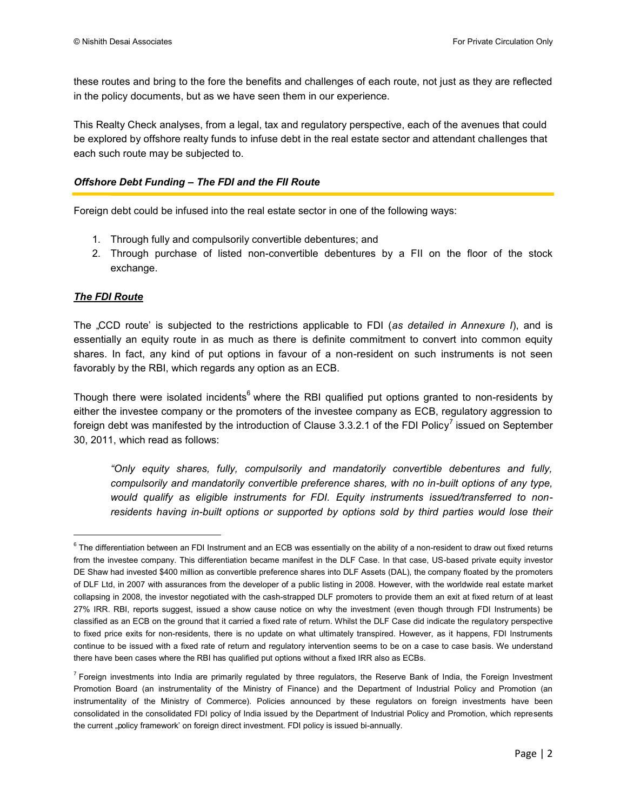these routes and bring to the fore the benefits and challenges of each route, not just as they are reflected in the policy documents, but as we have seen them in our experience.

This Realty Check analyses, from a legal, tax and regulatory perspective, each of the avenues that could be explored by offshore realty funds to infuse debt in the real estate sector and attendant challenges that each such route may be subjected to.

#### *Offshore Debt Funding – The FDI and the FII Route*

Foreign debt could be infused into the real estate sector in one of the following ways:

- 1. Through fully and compulsorily convertible debentures; and
- 2. Through purchase of listed non-convertible debentures by a FII on the floor of the stock exchange.

#### *The FDI Route*

 $\overline{a}$ 

The "CCD route" is subjected to the restrictions applicable to FDI (*as detailed in Annexure I*), and is essentially an equity route in as much as there is definite commitment to convert into common equity shares. In fact, any kind of put options in favour of a non-resident on such instruments is not seen favorably by the RBI, which regards any option as an ECB.

Though there were isolated incidents<sup>6</sup> where the RBI qualified put options granted to non-residents by either the investee company or the promoters of the investee company as ECB, regulatory aggression to foreign debt was manifested by the introduction of Clause 3.3.2.1 of the FDI Policy<sup>7</sup> issued on September 30, 2011, which read as follows:

*"Only equity shares, fully, compulsorily and mandatorily convertible debentures and fully, compulsorily and mandatorily convertible preference shares, with no in-built options of any type, would qualify as eligible instruments for FDI. Equity instruments issued/transferred to non*residents having in-built options or supported by options sold by third parties would lose their

 $^6$  The differentiation between an FDI Instrument and an ECB was essentially on the ability of a non-resident to draw out fixed returns from the investee company. This differentiation became manifest in the DLF Case. In that case, US-based private equity investor DE Shaw had invested \$400 million as convertible preference shares into DLF Assets (DAL), the company floated by the promoters of DLF Ltd, in 2007 with assurances from the developer of a public listing in 2008. However, with the worldwide real estate market collapsing in 2008, the investor negotiated with the cash-strapped DLF promoters to provide them an exit at fixed return of at least 27% IRR. RBI, reports suggest, issued a show cause notice on why the investment (even though through FDI Instruments) be classified as an ECB on the ground that it carried a fixed rate of return. Whilst the DLF Case did indicate the regulatory perspective to fixed price exits for non-residents, there is no update on what ultimately transpired. However, as it happens, FDI Instruments continue to be issued with a fixed rate of return and regulatory intervention seems to be on a case to case basis. We understand there have been cases where the RBI has qualified put options without a fixed IRR also as ECBs.

<sup>&</sup>lt;sup>7</sup> Foreign investments into India are primarily regulated by three regulators, the Reserve Bank of India, the Foreign Investment Promotion Board (an instrumentality of the Ministry of Finance) and the Department of Industrial Policy and Promotion (an instrumentality of the Ministry of Commerce). Policies announced by these regulators on foreign investments have been consolidated in the consolidated FDI policy of India issued by the Department of Industrial Policy and Promotion, which represents the current "policy framework' on foreign direct investment. FDI policy is issued bi-annually.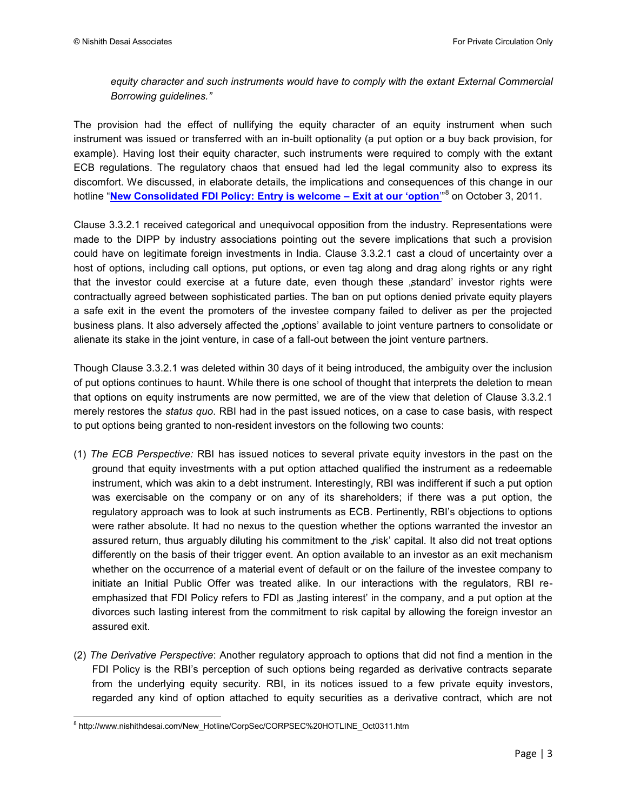#### equity character and such instruments would have to comply with the extant External Commercial *Borrowing guidelines."*

The provision had the effect of nullifying the equity character of an equity instrument when such instrument was issued or transferred with an in-built optionality (a put option or a buy back provision, for example). Having lost their equity character, such instruments were required to comply with the extant ECB regulations. The regulatory chaos that ensued had led the legal community also to express its discomfort. We discussed, in elaborate details, the implications and consequences of this change in our hotline "**[New Consolidated FDI Policy: Entry is welcome – Exit at our 'option](http://www.nishithdesai.com/New_Hotline/CorpSec/CORPSEC%20HOTLINE_Oct0311.htm)**"" 8 on October 3, 2011.

Clause 3.3.2.1 received categorical and unequivocal opposition from the industry. Representations were made to the DIPP by industry associations pointing out the severe implications that such a provision could have on legitimate foreign investments in India. Clause 3.3.2.1 cast a cloud of uncertainty over a host of options, including call options, put options, or even tag along and drag along rights or any right that the investor could exercise at a future date, even though these "standard' investor rights were contractually agreed between sophisticated parties. The ban on put options denied private equity players a safe exit in the event the promoters of the investee company failed to deliver as per the projected business plans. It also adversely affected the "options' available to joint venture partners to consolidate or alienate its stake in the joint venture, in case of a fall-out between the joint venture partners.

Though Clause 3.3.2.1 was deleted within 30 days of it being introduced, the ambiguity over the inclusion of put options continues to haunt. While there is one school of thought that interprets the deletion to mean that options on equity instruments are now permitted, we are of the view that deletion of Clause 3.3.2.1 merely restores the *status quo*. RBI had in the past issued notices, on a case to case basis, with respect to put options being granted to non-resident investors on the following two counts:

- (1) *The ECB Perspective:* RBI has issued notices to several private equity investors in the past on the ground that equity investments with a put option attached qualified the instrument as a redeemable instrument, which was akin to a debt instrument. Interestingly, RBI was indifferent if such a put option was exercisable on the company or on any of its shareholders; if there was a put option, the regulatory approach was to look at such instruments as ECB. Pertinently, RBI"s objections to options were rather absolute. It had no nexus to the question whether the options warranted the investor an assured return, thus arguably diluting his commitment to the "risk' capital. It also did not treat options differently on the basis of their trigger event. An option available to an investor as an exit mechanism whether on the occurrence of a material event of default or on the failure of the investee company to initiate an Initial Public Offer was treated alike. In our interactions with the regulators, RBI reemphasized that FDI Policy refers to FDI as Jasting interest' in the company, and a put option at the divorces such lasting interest from the commitment to risk capital by allowing the foreign investor an assured exit.
- (2) *The Derivative Perspective*: Another regulatory approach to options that did not find a mention in the FDI Policy is the RBI's perception of such options being regarded as derivative contracts separate from the underlying equity security. RBI, in its notices issued to a few private equity investors, regarded any kind of option attached to equity securities as a derivative contract, which are not

 $\overline{\phantom{a}}$ <sup>8</sup> http://www.nishithdesai.com/New\_Hotline/CorpSec/CORPSEC%20HOTLINE\_Oct0311.htm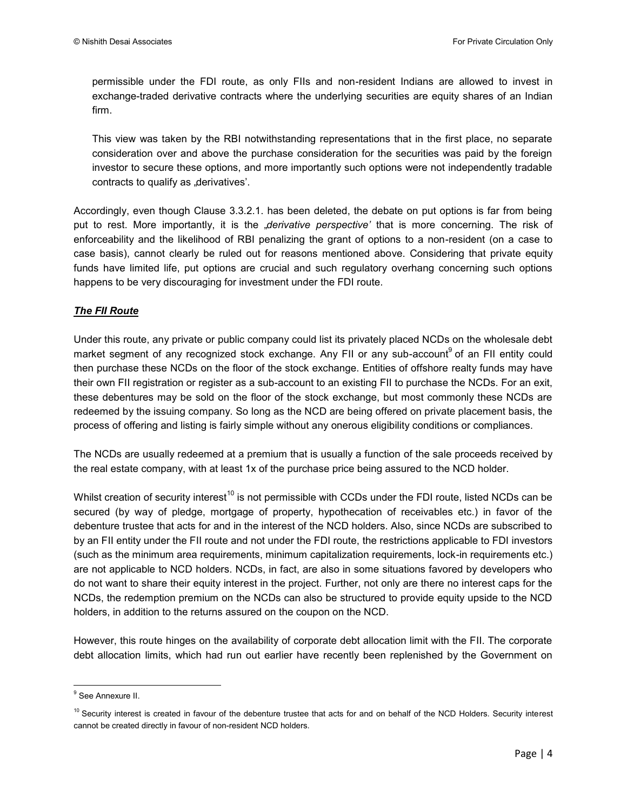permissible under the FDI route, as only FIIs and non-resident Indians are allowed to invest in exchange-traded derivative contracts where the underlying securities are equity shares of an Indian firm.

This view was taken by the RBI notwithstanding representations that in the first place, no separate consideration over and above the purchase consideration for the securities was paid by the foreign investor to secure these options, and more importantly such options were not independently tradable contracts to qualify as "derivatives'.

Accordingly, even though Clause 3.3.2.1. has been deleted, the debate on put options is far from being put to rest. More importantly, it is the *"derivative perspective*<sup>*'*</sup> that is more concerning. The risk of enforceability and the likelihood of RBI penalizing the grant of options to a non-resident (on a case to case basis), cannot clearly be ruled out for reasons mentioned above. Considering that private equity funds have limited life, put options are crucial and such regulatory overhang concerning such options happens to be very discouraging for investment under the FDI route.

#### *The FII Route*

Under this route, any private or public company could list its privately placed NCDs on the wholesale debt market segment of any recognized stock exchange. Any FII or any sub-account<sup>9</sup> of an FII entity could then purchase these NCDs on the floor of the stock exchange. Entities of offshore realty funds may have their own FII registration or register as a sub-account to an existing FII to purchase the NCDs. For an exit, these debentures may be sold on the floor of the stock exchange, but most commonly these NCDs are redeemed by the issuing company. So long as the NCD are being offered on private placement basis, the process of offering and listing is fairly simple without any onerous eligibility conditions or compliances.

The NCDs are usually redeemed at a premium that is usually a function of the sale proceeds received by the real estate company, with at least 1x of the purchase price being assured to the NCD holder.

Whilst creation of security interest<sup>10</sup> is not permissible with CCDs under the FDI route, listed NCDs can be secured (by way of pledge, mortgage of property, hypothecation of receivables etc.) in favor of the debenture trustee that acts for and in the interest of the NCD holders. Also, since NCDs are subscribed to by an FII entity under the FII route and not under the FDI route, the restrictions applicable to FDI investors (such as the minimum area requirements, minimum capitalization requirements, lock-in requirements etc.) are not applicable to NCD holders. NCDs, in fact, are also in some situations favored by developers who do not want to share their equity interest in the project. Further, not only are there no interest caps for the NCDs, the redemption premium on the NCDs can also be structured to provide equity upside to the NCD holders, in addition to the returns assured on the coupon on the NCD.

However, this route hinges on the availability of corporate debt allocation limit with the FII. The corporate debt allocation limits, which had run out earlier have recently been replenished by the Government on

ender<br><sup>9</sup> See Annexure II.

 $10$  Security interest is created in favour of the debenture trustee that acts for and on behalf of the NCD Holders. Security interest cannot be created directly in favour of non-resident NCD holders.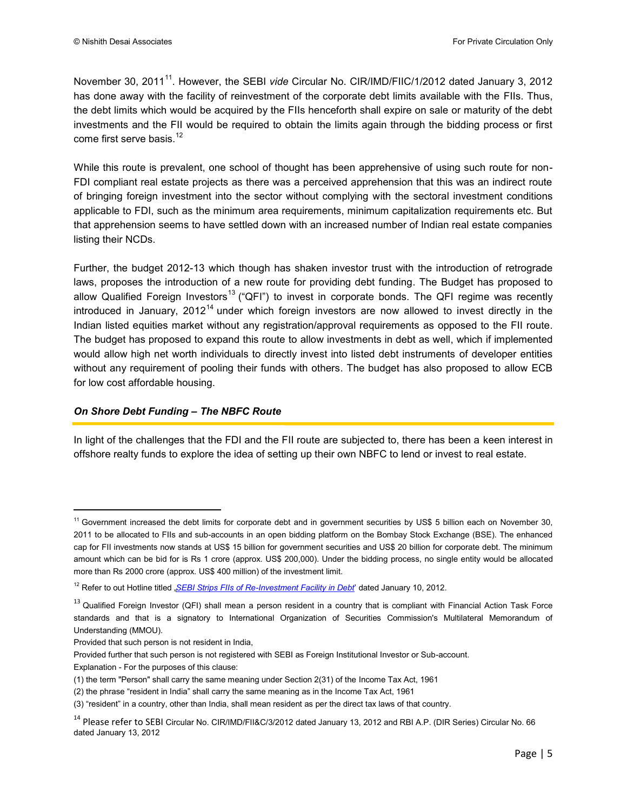November 30, 2011<sup>11</sup>. However, the SEBI *vide* Circular No. CIR/IMD/FIIC/1/2012 dated January 3, 2012 has done away with the facility of reinvestment of the corporate debt limits available with the FIIs. Thus, the debt limits which would be acquired by the FIIs henceforth shall expire on sale or maturity of the debt investments and the FII would be required to obtain the limits again through the bidding process or first come first serve basis.<sup>12</sup>

While this route is prevalent, one school of thought has been apprehensive of using such route for non-FDI compliant real estate projects as there was a perceived apprehension that this was an indirect route of bringing foreign investment into the sector without complying with the sectoral investment conditions applicable to FDI, such as the minimum area requirements, minimum capitalization requirements etc. But that apprehension seems to have settled down with an increased number of Indian real estate companies listing their NCDs.

Further, the budget 2012-13 which though has shaken investor trust with the introduction of retrograde laws, proposes the introduction of a new route for providing debt funding. The Budget has proposed to allow Qualified Foreign Investors<sup>13</sup> ("QFI") to invest in corporate bonds. The QFI regime was recently introduced in January,  $2012^{14}$  under which foreign investors are now allowed to invest directly in the Indian listed equities market without any registration/approval requirements as opposed to the FII route. The budget has proposed to expand this route to allow investments in debt as well, which if implemented would allow high net worth individuals to directly invest into listed debt instruments of developer entities without any requirement of pooling their funds with others. The budget has also proposed to allow ECB for low cost affordable housing.

#### *On Shore Debt Funding – The NBFC Route*

In light of the challenges that the FDI and the FII route are subjected to, there has been a keen interest in offshore realty funds to explore the idea of setting up their own NBFC to lend or invest to real estate.

Explanation - For the purposes of this clause:

 $\overline{\phantom{a}}$ 

<sup>&</sup>lt;sup>11</sup> Government increased the debt limits for corporate debt and in government securities by US\$ 5 billion each on November 30, 2011 to be allocated to FIIs and sub-accounts in an open bidding platform on the Bombay Stock Exchange (BSE). The enhanced cap for FII investments now stands at US\$ 15 billion for government securities and US\$ 20 billion for corporate debt. The minimum amount which can be bid for is Rs 1 crore (approx. US\$ 200,000). Under the bidding process, no single entity would be allocated more than Rs 2000 crore (approx. US\$ 400 million) of the investment limit.

<sup>&</sup>lt;sup>12</sup> Refer to out Hotline titled "*[SEBI Strips FIIs of Re-Investment Facility in Debt](http://www.nishithdesai.com/New_Hotline/CorpSec/Corpsec%20Hotline_Jan1012.htm)*' dated January 10, 2012.

<sup>&</sup>lt;sup>13</sup> Qualified Foreign Investor (QFI) shall mean a person resident in a country that is compliant with Financial Action Task Force standards and that is a signatory to International Organization of Securities Commission's Multilateral Memorandum of Understanding (MMOU).

Provided that such person is not resident in India,

Provided further that such person is not registered with SEBI as Foreign Institutional Investor or Sub-account.

<sup>(1)</sup> the term "Person" shall carry the same meaning under Section 2(31) of the Income Tax Act, 1961

<sup>(2)</sup> the phrase "resident in India" shall carry the same meaning as in the Income Tax Act, 1961

<sup>(3) &</sup>quot;resident" in a country, other than India, shall mean resident as per the direct tax laws of that country.

<sup>&</sup>lt;sup>14</sup> Please refer to SEBI Circular No. CIR/IMD/FII&C/3/2012 dated January 13, 2012 and RBI A.P. (DIR Series) Circular No. 66 dated January 13, 2012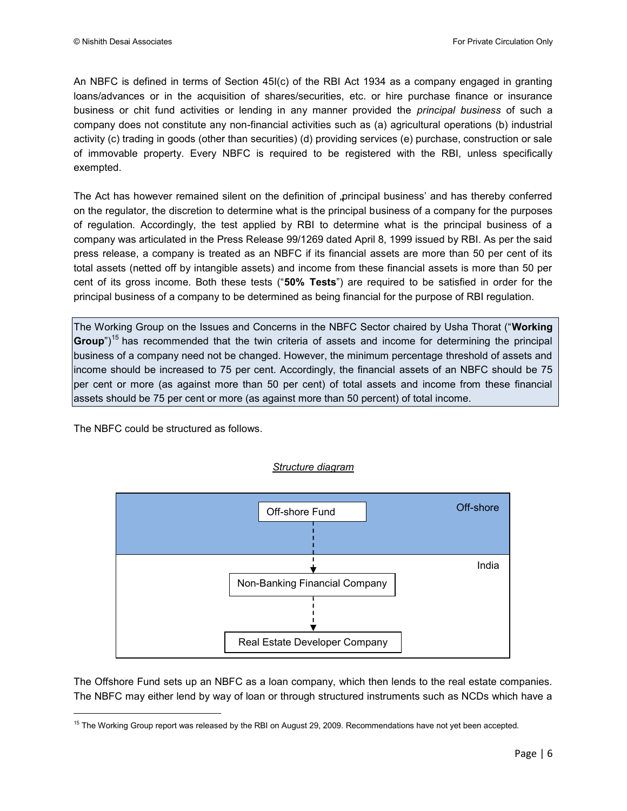An NBFC is defined in terms of Section 45I(c) of the RBI Act 1934 as a company engaged in granting loans/advances or in the acquisition of shares/securities, etc. or hire purchase finance or insurance business or chit fund activities or lending in any manner provided the *principal business* of such a company does not constitute any non-financial activities such as (a) agricultural operations (b) industrial activity (c) trading in goods (other than securities) (d) providing services (e) purchase, construction or sale of immovable property. Every NBFC is required to be registered with the RBI, unless specifically exempted.

The Act has however remained silent on the definition of "principal business' and has thereby conferred on the regulator, the discretion to determine what is the principal business of a company for the purposes of regulation. Accordingly, the test applied by RBI to determine what is the principal business of a company was articulated in the Press Release 99/1269 dated April 8, 1999 issued by RBI. As per the said press release, a company is treated as an NBFC if its financial assets are more than 50 per cent of its total assets (netted off by intangible assets) and income from these financial assets is more than 50 per cent of its gross income. Both these tests ("**50% Tests**") are required to be satisfied in order for the principal business of a company to be determined as being financial for the purpose of RBI regulation.

The Working Group on the Issues and Concerns in the NBFC Sector chaired by Usha Thorat ("**Working Group**")<sup>15</sup> has recommended that the twin criteria of assets and income for determining the principal business of a company need not be changed. However, the minimum percentage threshold of assets and income should be increased to 75 per cent. Accordingly, the financial assets of an NBFC should be 75 per cent or more (as against more than 50 per cent) of total assets and income from these financial assets should be 75 per cent or more (as against more than 50 percent) of total income.

The NBFC could be structured as follows.

l



*Structure diagram* 

The Offshore Fund sets up an NBFC as a loan company, which then lends to the real estate companies. The NBFC may either lend by way of loan or through structured instruments such as NCDs which have a

 $15$  The Working Group report was released by the RBI on August 29, 2009. Recommendations have not yet been accepted.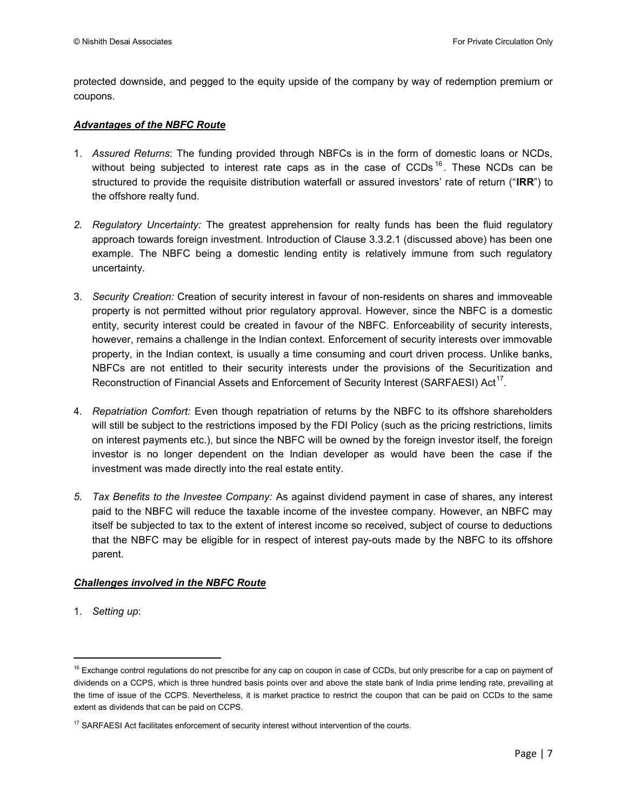protected downside, and pegged to the equity upside of the company by way of redemption premium or coupons.

#### *Advantages of the NBFC Route*

- 1. *Assured Returns*: The funding provided through NBFCs is in the form of domestic loans or NCDs, without being subjected to interest rate caps as in the case of CCDs  $16$ . These NCDs can be structured to provide the requisite distribution waterfall or assured investors" rate of return ("**IRR**") to the offshore realty fund.
- *2. Regulatory Uncertainty:* The greatest apprehension for realty funds has been the fluid regulatory approach towards foreign investment. Introduction of Clause 3.3.2.1 (discussed above) has been one example. The NBFC being a domestic lending entity is relatively immune from such regulatory uncertainty.
- 3. *Security Creation:* Creation of security interest in favour of non-residents on shares and immoveable property is not permitted without prior regulatory approval. However, since the NBFC is a domestic entity, security interest could be created in favour of the NBFC. Enforceability of security interests, however, remains a challenge in the Indian context. Enforcement of security interests over immovable property, in the Indian context, is usually a time consuming and court driven process. Unlike banks, NBFCs are not entitled to their security interests under the provisions of the Securitization and Reconstruction of Financial Assets and Enforcement of Security Interest (SARFAESI) Act<sup>17</sup>.
- 4. *Repatriation Comfort:* Even though repatriation of returns by the NBFC to its offshore shareholders will still be subject to the restrictions imposed by the FDI Policy (such as the pricing restrictions, limits on interest payments etc.), but since the NBFC will be owned by the foreign investor itself, the foreign investor is no longer dependent on the Indian developer as would have been the case if the investment was made directly into the real estate entity.
- *5. Tax Benefits to the Investee Company:* As against dividend payment in case of shares, any interest paid to the NBFC will reduce the taxable income of the investee company. However, an NBFC may itself be subjected to tax to the extent of interest income so received, subject of course to deductions that the NBFC may be eligible for in respect of interest pay-outs made by the NBFC to its offshore parent.

#### *Challenges involved in the NBFC Route*

1. *Setting up*:

l

<sup>&</sup>lt;sup>16</sup> Exchange control regulations do not prescribe for any cap on coupon in case of CCDs, but only prescribe for a cap on payment of dividends on a CCPS, which is three hundred basis points over and above the state bank of India prime lending rate, prevailing at the time of issue of the CCPS. Nevertheless, it is market practice to restrict the coupon that can be paid on CCDs to the same extent as dividends that can be paid on CCPS.

<sup>&</sup>lt;sup>17</sup> SARFAESI Act facilitates enforcement of security interest without intervention of the courts.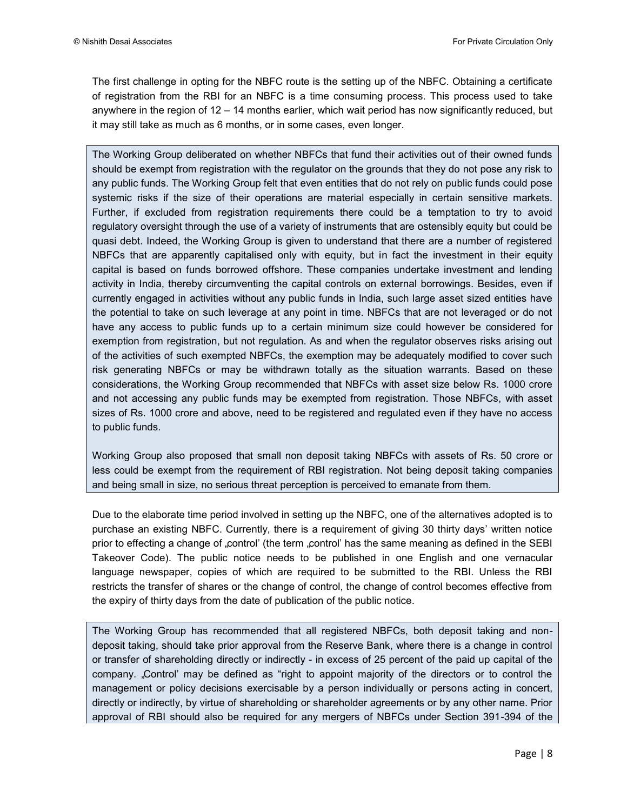The first challenge in opting for the NBFC route is the setting up of the NBFC. Obtaining a certificate of registration from the RBI for an NBFC is a time consuming process. This process used to take anywhere in the region of 12 – 14 months earlier, which wait period has now significantly reduced, but it may still take as much as 6 months, or in some cases, even longer.

The Working Group deliberated on whether NBFCs that fund their activities out of their owned funds should be exempt from registration with the regulator on the grounds that they do not pose any risk to any public funds. The Working Group felt that even entities that do not rely on public funds could pose systemic risks if the size of their operations are material especially in certain sensitive markets. Further, if excluded from registration requirements there could be a temptation to try to avoid regulatory oversight through the use of a variety of instruments that are ostensibly equity but could be quasi debt. Indeed, the Working Group is given to understand that there are a number of registered NBFCs that are apparently capitalised only with equity, but in fact the investment in their equity capital is based on funds borrowed offshore. These companies undertake investment and lending activity in India, thereby circumventing the capital controls on external borrowings. Besides, even if currently engaged in activities without any public funds in India, such large asset sized entities have the potential to take on such leverage at any point in time. NBFCs that are not leveraged or do not have any access to public funds up to a certain minimum size could however be considered for exemption from registration, but not regulation. As and when the regulator observes risks arising out of the activities of such exempted NBFCs, the exemption may be adequately modified to cover such risk generating NBFCs or may be withdrawn totally as the situation warrants. Based on these considerations, the Working Group recommended that NBFCs with asset size below Rs. 1000 crore and not accessing any public funds may be exempted from registration. Those NBFCs, with asset sizes of Rs. 1000 crore and above, need to be registered and regulated even if they have no access to public funds.

Working Group also proposed that small non deposit taking NBFCs with assets of Rs. 50 crore or less could be exempt from the requirement of RBI registration. Not being deposit taking companies and being small in size, no serious threat perception is perceived to emanate from them.

Due to the elaborate time period involved in setting up the NBFC, one of the alternatives adopted is to purchase an existing NBFC. Currently, there is a requirement of giving 30 thirty days" written notice prior to effecting a change of "control" (the term "control" has the same meaning as defined in the SEBI Takeover Code). The public notice needs to be published in one English and one vernacular language newspaper, copies of which are required to be submitted to the RBI. Unless the RBI restricts the transfer of shares or the change of control, the change of control becomes effective from the expiry of thirty days from the date of publication of the public notice.

The Working Group has recommended that all registered NBFCs, both deposit taking and nondeposit taking, should take prior approval from the Reserve Bank, where there is a change in control or transfer of shareholding directly or indirectly - in excess of 25 percent of the paid up capital of the company. "Control" may be defined as "right to appoint majority of the directors or to control the management or policy decisions exercisable by a person individually or persons acting in concert, directly or indirectly, by virtue of shareholding or shareholder agreements or by any other name. Prior approval of RBI should also be required for any mergers of NBFCs under Section 391-394 of the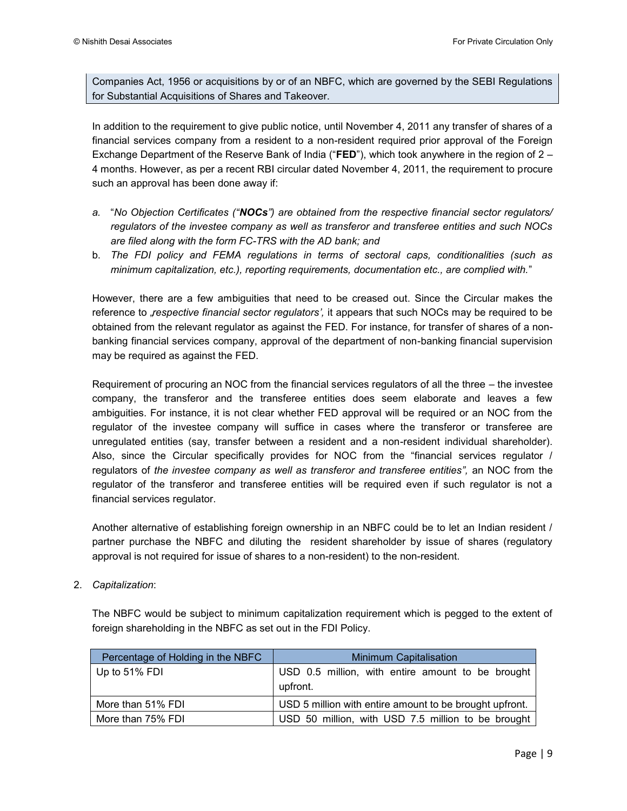Companies Act, 1956 or acquisitions by or of an NBFC, which are governed by the SEBI Regulations for Substantial Acquisitions of Shares and Takeover.

In addition to the requirement to give public notice, until November 4, 2011 any transfer of shares of a financial services company from a resident to a non-resident required prior approval of the Foreign Exchange Department of the Reserve Bank of India ("**FED**"), which took anywhere in the region of 2 – 4 months. However, as per a recent RBI circular dated November 4, 2011, the requirement to procure such an approval has been done away if:

- *a.* "*No Objection Certificates ("NOCs") are obtained from the respective financial sector regulators/ regulators of the investee company as well as transferor and transferee entities and such NOCs are filed along with the form FC-TRS with the AD bank; and*
- b. *The FDI policy and FEMA regulations in terms of sectoral caps, conditionalities (such as minimum capitalization, etc.), reporting requirements, documentation etc., are complied with.*"

However, there are a few ambiguities that need to be creased out. Since the Circular makes the reference to *"respective financial sector regulators*<sup>"</sup>, it appears that such NOCs may be required to be obtained from the relevant regulator as against the FED. For instance, for transfer of shares of a nonbanking financial services company, approval of the department of non-banking financial supervision may be required as against the FED.

Requirement of procuring an NOC from the financial services regulators of all the three – the investee company, the transferor and the transferee entities does seem elaborate and leaves a few ambiguities. For instance, it is not clear whether FED approval will be required or an NOC from the regulator of the investee company will suffice in cases where the transferor or transferee are unregulated entities (say, transfer between a resident and a non-resident individual shareholder). Also, since the Circular specifically provides for NOC from the "financial services regulator / regulators of *the investee company as well as transferor and transferee entities*", an NOC from the regulator of the transferor and transferee entities will be required even if such regulator is not a financial services regulator.

Another alternative of establishing foreign ownership in an NBFC could be to let an Indian resident / partner purchase the NBFC and diluting the resident shareholder by issue of shares (regulatory approval is not required for issue of shares to a non-resident) to the non-resident.

2. *Capitalization*:

The NBFC would be subject to minimum capitalization requirement which is pegged to the extent of foreign shareholding in the NBFC as set out in the FDI Policy.

| Percentage of Holding in the NBFC | <b>Minimum Capitalisation</b>                                 |  |  |  |  |
|-----------------------------------|---------------------------------------------------------------|--|--|--|--|
| Up to 51% FDI                     | USD 0.5 million, with entire amount to be brought<br>upfront. |  |  |  |  |
| More than 51% FDI                 | USD 5 million with entire amount to be brought upfront.       |  |  |  |  |
| More than 75% FDI                 | USD 50 million, with USD 7.5 million to be brought            |  |  |  |  |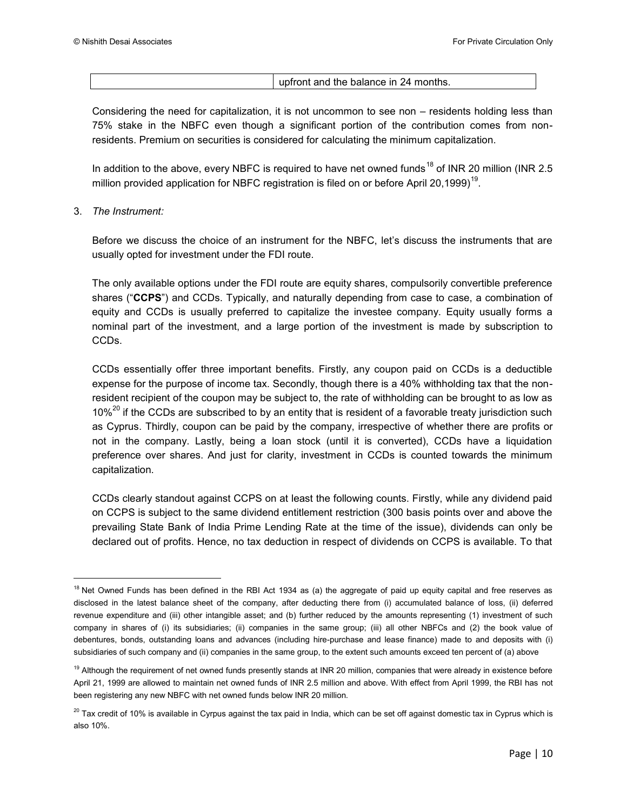upfront and the balance in 24 months.

Considering the need for capitalization, it is not uncommon to see non – residents holding less than 75% stake in the NBFC even though a significant portion of the contribution comes from nonresidents. Premium on securities is considered for calculating the minimum capitalization.

In addition to the above, every NBFC is required to have net owned funds<sup>18</sup> of INR 20 million (INR 2.5) million provided application for NBFC registration is filed on or before April 20,1999)<sup>19</sup>.

#### 3. *The Instrument:*

l

Before we discuss the choice of an instrument for the NBFC, let"s discuss the instruments that are usually opted for investment under the FDI route.

The only available options under the FDI route are equity shares, compulsorily convertible preference shares ("**CCPS**") and CCDs. Typically, and naturally depending from case to case, a combination of equity and CCDs is usually preferred to capitalize the investee company. Equity usually forms a nominal part of the investment, and a large portion of the investment is made by subscription to CCDs.

CCDs essentially offer three important benefits. Firstly, any coupon paid on CCDs is a deductible expense for the purpose of income tax. Secondly, though there is a 40% withholding tax that the nonresident recipient of the coupon may be subject to, the rate of withholding can be brought to as low as  $10\%^{20}$  if the CCDs are subscribed to by an entity that is resident of a favorable treaty jurisdiction such as Cyprus. Thirdly, coupon can be paid by the company, irrespective of whether there are profits or not in the company. Lastly, being a loan stock (until it is converted), CCDs have a liquidation preference over shares. And just for clarity, investment in CCDs is counted towards the minimum capitalization.

CCDs clearly standout against CCPS on at least the following counts. Firstly, while any dividend paid on CCPS is subject to the same dividend entitlement restriction (300 basis points over and above the prevailing State Bank of India Prime Lending Rate at the time of the issue), dividends can only be declared out of profits. Hence, no tax deduction in respect of dividends on CCPS is available. To that

<sup>&</sup>lt;sup>18</sup> Net Owned Funds has been defined in the RBI Act 1934 as (a) the aggregate of paid up equity capital and free reserves as disclosed in the latest balance sheet of the company, after deducting there from (i) accumulated balance of loss, (ii) deferred revenue expenditure and (iii) other intangible asset; and (b) further reduced by the amounts representing (1) investment of such company in shares of (i) its subsidiaries; (ii) companies in the same group; (iii) all other NBFCs and (2) the book value of debentures, bonds, outstanding loans and advances (including hire-purchase and lease finance) made to and deposits with (i) subsidiaries of such company and (ii) companies in the same group, to the extent such amounts exceed ten percent of (a) above

<sup>&</sup>lt;sup>19</sup> Although the requirement of net owned funds presently stands at INR 20 million, companies that were already in existence before April 21, 1999 are allowed to maintain net owned funds of INR 2.5 million and above. With effect from April 1999, the RBI has not been registering any new NBFC with net owned funds below INR 20 million.

<sup>&</sup>lt;sup>20</sup> Tax credit of 10% is available in Cyrpus against the tax paid in India, which can be set off against domestic tax in Cyprus which is also 10%.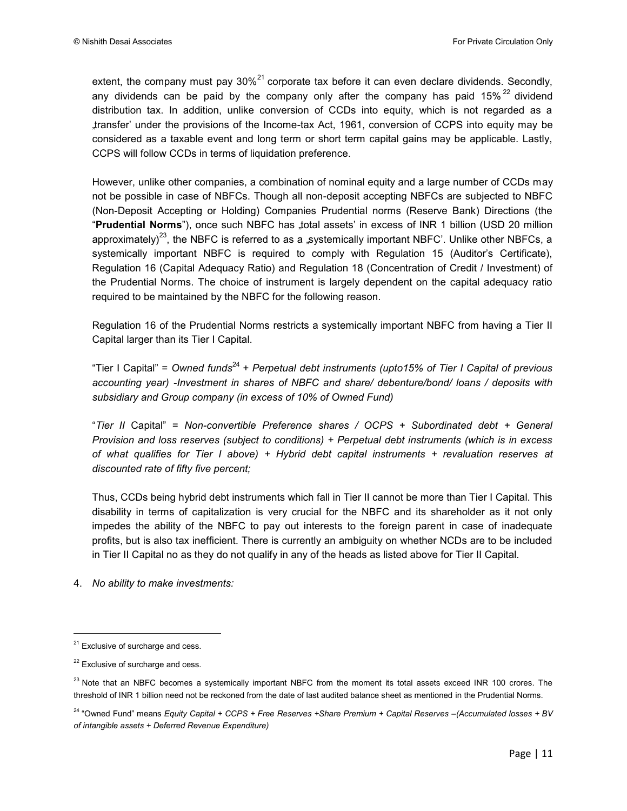extent, the company must pay  $30\%^{21}$  corporate tax before it can even declare dividends. Secondly, any dividends can be paid by the company only after the company has paid  $15\%$ <sup>22</sup> dividend distribution tax. In addition, unlike conversion of CCDs into equity, which is not regarded as a "transfer" under the provisions of the Income-tax Act, 1961, conversion of CCPS into equity may be considered as a taxable event and long term or short term capital gains may be applicable. Lastly, CCPS will follow CCDs in terms of liquidation preference.

However, unlike other companies, a combination of nominal equity and a large number of CCDs may not be possible in case of NBFCs. Though all non-deposit accepting NBFCs are subjected to NBFC (Non-Deposit Accepting or Holding) Companies Prudential norms (Reserve Bank) Directions (the "**Prudential Norms**"), once such NBFC has "total assets" in excess of INR 1 billion (USD 20 million approximately)<sup>23</sup>, the NBFC is referred to as a "systemically important NBFC'. Unlike other NBFCs, a systemically important NBFC is required to comply with Regulation 15 (Auditor's Certificate), Regulation 16 (Capital Adequacy Ratio) and Regulation 18 (Concentration of Credit / Investment) of the Prudential Norms. The choice of instrument is largely dependent on the capital adequacy ratio required to be maintained by the NBFC for the following reason.

Regulation 16 of the Prudential Norms restricts a systemically important NBFC from having a Tier II Capital larger than its Tier I Capital.

"Tier I Capital" = *Owned funds*<sup>24</sup> *+ Perpetual debt instruments (upto15% of Tier I Capital of previous accounting year) -Investment in shares of NBFC and share/ debenture/bond/ loans / deposits with subsidiary and Group company (in excess of 10% of Owned Fund)* 

"*Tier II* Capital" = *Non-convertible Preference shares / OCPS + Subordinated debt + General Provision and loss reserves (subject to conditions) + Perpetual debt instruments (which is in excess of what qualifies for Tier I above) + Hybrid debt capital instruments + revaluation reserves at discounted rate of fifty five percent;* 

Thus, CCDs being hybrid debt instruments which fall in Tier II cannot be more than Tier I Capital. This disability in terms of capitalization is very crucial for the NBFC and its shareholder as it not only impedes the ability of the NBFC to pay out interests to the foreign parent in case of inadequate profits, but is also tax inefficient. There is currently an ambiguity on whether NCDs are to be included in Tier II Capital no as they do not qualify in any of the heads as listed above for Tier II Capital.

4. *No ability to make investments:*

l

 $21$  Exclusive of surcharge and cess.

 $22$  Exclusive of surcharge and cess.

<sup>&</sup>lt;sup>23</sup> Note that an NBFC becomes a systemically important NBFC from the moment its total assets exceed INR 100 crores. The threshold of INR 1 billion need not be reckoned from the date of last audited balance sheet as mentioned in the Prudential Norms.

<sup>24</sup> "Owned Fund" means *Equity Capital + CCPS + Free Reserves +Share Premium + Capital Reserves –(Accumulated losses + BV of intangible assets + Deferred Revenue Expenditure)*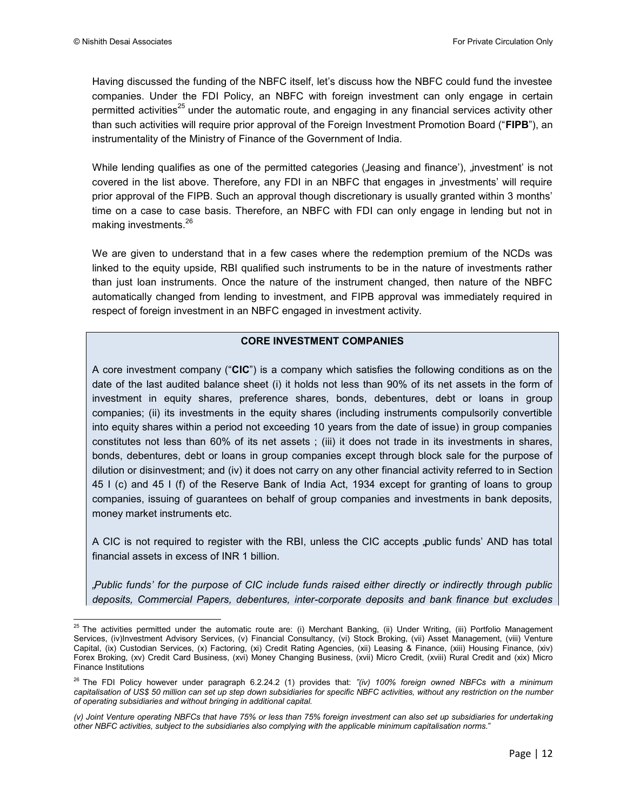Having discussed the funding of the NBFC itself, let"s discuss how the NBFC could fund the investee companies. Under the FDI Policy, an NBFC with foreign investment can only engage in certain permitted activities<sup>25</sup> under the automatic route, and engaging in any financial services activity other than such activities will require prior approval of the Foreign Investment Promotion Board ("**FIPB**"), an instrumentality of the Ministry of Finance of the Government of India.

While lending qualifies as one of the permitted categories (Jeasing and finance'), "investment' is not covered in the list above. Therefore, any FDI in an NBFC that engages in "investments' will require prior approval of the FIPB. Such an approval though discretionary is usually granted within 3 months" time on a case to case basis. Therefore, an NBFC with FDI can only engage in lending but not in making investments.<sup>26</sup>

We are given to understand that in a few cases where the redemption premium of the NCDs was linked to the equity upside, RBI qualified such instruments to be in the nature of investments rather than just loan instruments. Once the nature of the instrument changed, then nature of the NBFC automatically changed from lending to investment, and FIPB approval was immediately required in respect of foreign investment in an NBFC engaged in investment activity.

#### **CORE INVESTMENT COMPANIES**

A core investment company ("**CIC**") is a company which satisfies the following conditions as on the date of the last audited balance sheet (i) it holds not less than 90% of its net assets in the form of investment in equity shares, preference shares, bonds, debentures, debt or loans in group companies; (ii) its investments in the equity shares (including instruments compulsorily convertible into equity shares within a period not exceeding 10 years from the date of issue) in group companies constitutes not less than 60% of its net assets ; (iii) it does not trade in its investments in shares, bonds, debentures, debt or loans in group companies except through block sale for the purpose of dilution or disinvestment; and (iv) it does not carry on any other financial activity referred to in Section 45 I (c) and 45 I (f) of the Reserve Bank of India Act, 1934 except for granting of loans to group companies, issuing of guarantees on behalf of group companies and investments in bank deposits, money market instruments etc.

A CIC is not required to register with the RBI, unless the CIC accepts public funds' AND has total financial assets in excess of INR 1 billion.

*"Public funds" for the purpose of CIC include funds raised either directly or indirectly through public deposits, Commercial Papers, debentures, inter-corporate deposits and bank finance but excludes* 

 $\overline{a}$  $25$  The activities permitted under the automatic route are: (i) Merchant Banking, (ii) Under Writing, (iii) Portfolio Management Services, (iv)Investment Advisory Services, (v) Financial Consultancy, (vi) Stock Broking, (vii) Asset Management, (viii) Venture Capital, (ix) Custodian Services, (x) Factoring, (xi) Credit Rating Agencies, (xii) Leasing & Finance, (xiii) Housing Finance, (xiv) Forex Broking, (xv) Credit Card Business, (xvi) Money Changing Business, (xvii) Micro Credit, (xviii) Rural Credit and (xix) Micro Finance Institutions

<sup>26</sup> The FDI Policy however under paragraph 6.2.24.2 (1) provides that: *"(iv) 100% foreign owned NBFCs with a minimum capitalisation of US\$ 50 million can set up step down subsidiaries for specific NBFC activities, without any restriction on the number of operating subsidiaries and without bringing in additional capital.* 

*<sup>(</sup>v) Joint Venture operating NBFCs that have 75% or less than 75% foreign investment can also set up subsidiaries for undertaking other NBFC activities, subject to the subsidiaries also complying with the applicable minimum capitalisation norms.*"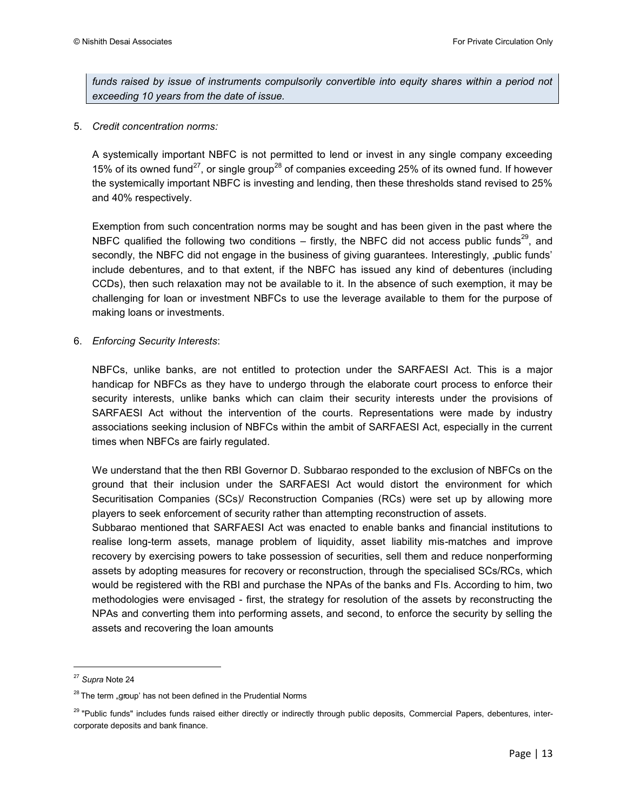funds raised by issue of instruments compulsorily convertible into equity shares within a period not *exceeding 10 years from the date of issue.*

5. *Credit concentration norms:*

A systemically important NBFC is not permitted to lend or invest in any single company exceeding 15% of its owned fund<sup>27</sup>, or single group<sup>28</sup> of companies exceeding 25% of its owned fund. If however the systemically important NBFC is investing and lending, then these thresholds stand revised to 25% and 40% respectively.

Exemption from such concentration norms may be sought and has been given in the past where the NBFC qualified the following two conditions – firstly, the NBFC did not access public funds<sup>29</sup>, and secondly, the NBFC did not engage in the business of giving quarantees. Interestingly, "public funds" include debentures, and to that extent, if the NBFC has issued any kind of debentures (including CCDs), then such relaxation may not be available to it. In the absence of such exemption, it may be challenging for loan or investment NBFCs to use the leverage available to them for the purpose of making loans or investments.

6. *Enforcing Security Interests*:

NBFCs, unlike banks, are not entitled to protection under the SARFAESI Act. This is a major handicap for NBFCs as they have to undergo through the elaborate court process to enforce their security interests, unlike banks which can claim their security interests under the provisions of SARFAESI Act without the intervention of the courts. Representations were made by industry associations seeking inclusion of NBFCs within the ambit of SARFAESI Act, especially in the current times when NBFCs are fairly regulated.

We understand that the then RBI Governor D. Subbarao responded to the exclusion of NBFCs on the ground that their inclusion under the SARFAESI Act would distort the environment for which Securitisation Companies (SCs)/ Reconstruction Companies (RCs) were set up by allowing more players to seek enforcement of security rather than attempting reconstruction of assets.

Subbarao mentioned that SARFAESI Act was enacted to enable banks and financial institutions to realise long-term assets, manage problem of liquidity, asset liability mis-matches and improve recovery by exercising powers to take possession of securities, sell them and reduce nonperforming assets by adopting measures for recovery or reconstruction, through the specialised SCs/RCs, which would be registered with the RBI and purchase the NPAs of the banks and FIs. According to him, two methodologies were envisaged - first, the strategy for resolution of the assets by reconstructing the NPAs and converting them into performing assets, and second, to enforce the security by selling the assets and recovering the loan amounts

 $\overline{\phantom{a}}$ 

<sup>27</sup> *Supra* Note 24

 $28$  The term "group' has not been defined in the Prudential Norms

<sup>&</sup>lt;sup>29</sup> "Public funds" includes funds raised either directly or indirectly through public deposits, Commercial Papers, debentures, intercorporate deposits and bank finance.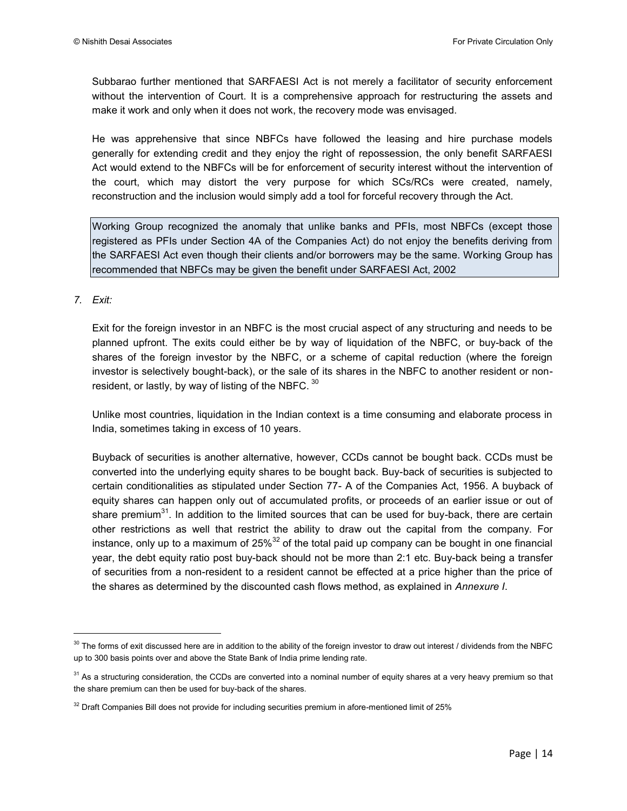Subbarao further mentioned that SARFAESI Act is not merely a facilitator of security enforcement without the intervention of Court. It is a comprehensive approach for restructuring the assets and make it work and only when it does not work, the recovery mode was envisaged.

He was apprehensive that since NBFCs have followed the leasing and hire purchase models generally for extending credit and they enjoy the right of repossession, the only benefit SARFAESI Act would extend to the NBFCs will be for enforcement of security interest without the intervention of the court, which may distort the very purpose for which SCs/RCs were created, namely, reconstruction and the inclusion would simply add a tool for forceful recovery through the Act.

Working Group recognized the anomaly that unlike banks and PFIs, most NBFCs (except those registered as PFIs under Section 4A of the Companies Act) do not enjoy the benefits deriving from the SARFAESI Act even though their clients and/or borrowers may be the same. Working Group has recommended that NBFCs may be given the benefit under SARFAESI Act, 2002

#### *7. Exit:*

l

Exit for the foreign investor in an NBFC is the most crucial aspect of any structuring and needs to be planned upfront. The exits could either be by way of liquidation of the NBFC, or buy-back of the shares of the foreign investor by the NBFC, or a scheme of capital reduction (where the foreign investor is selectively bought-back), or the sale of its shares in the NBFC to another resident or nonresident, or lastly, by way of listing of the NBFC.  $^{30}$ 

Unlike most countries, liquidation in the Indian context is a time consuming and elaborate process in India, sometimes taking in excess of 10 years.

Buyback of securities is another alternative, however, CCDs cannot be bought back. CCDs must be converted into the underlying equity shares to be bought back. Buy-back of securities is subjected to certain conditionalities as stipulated under Section 77- A of the Companies Act, 1956. A buyback of equity shares can happen only out of accumulated profits, or proceeds of an earlier issue or out of share premium $^{31}$ . In addition to the limited sources that can be used for buy-back, there are certain other restrictions as well that restrict the ability to draw out the capital from the company. For instance, only up to a maximum of 25% $^{32}$  of the total paid up company can be bought in one financial year, the debt equity ratio post buy-back should not be more than 2:1 etc. Buy-back being a transfer of securities from a non-resident to a resident cannot be effected at a price higher than the price of the shares as determined by the discounted cash flows method, as explained in *Annexure I*.

<sup>&</sup>lt;sup>30</sup> The forms of exit discussed here are in addition to the ability of the foreign investor to draw out interest / dividends from the NBFC up to 300 basis points over and above the State Bank of India prime lending rate.

<sup>&</sup>lt;sup>31</sup> As a structuring consideration, the CCDs are converted into a nominal number of equity shares at a very heavy premium so that the share premium can then be used for buy-back of the shares.

 $32$  Draft Companies Bill does not provide for including securities premium in afore-mentioned limit of 25%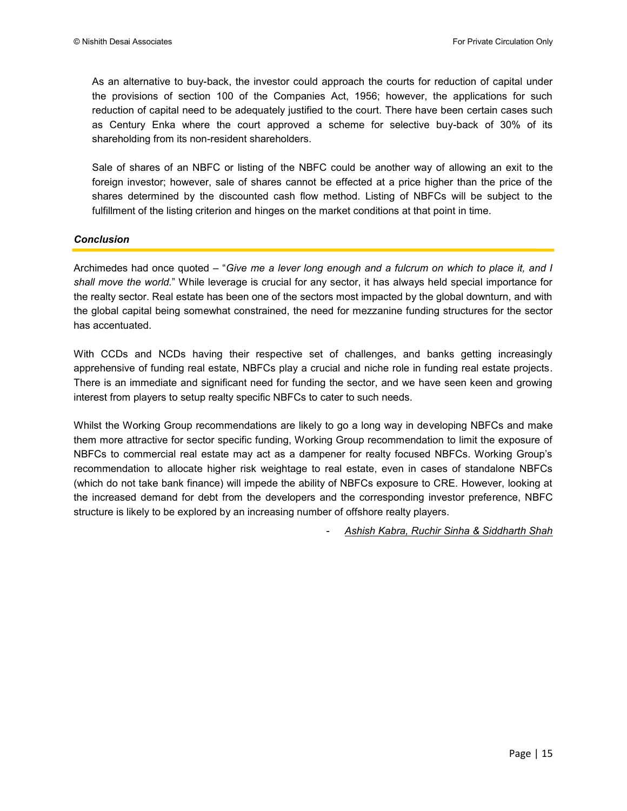As an alternative to buy-back, the investor could approach the courts for reduction of capital under the provisions of section 100 of the Companies Act, 1956; however, the applications for such reduction of capital need to be adequately justified to the court. There have been certain cases such as Century Enka where the court approved a scheme for selective buy-back of 30% of its shareholding from its non-resident shareholders.

Sale of shares of an NBFC or listing of the NBFC could be another way of allowing an exit to the foreign investor; however, sale of shares cannot be effected at a price higher than the price of the shares determined by the discounted cash flow method. Listing of NBFCs will be subject to the fulfillment of the listing criterion and hinges on the market conditions at that point in time.

#### *Conclusion*

Archimedes had once quoted – "*Give me a lever long enough and a fulcrum on which to place it, and I shall move the world.*" While leverage is crucial for any sector, it has always held special importance for the realty sector. Real estate has been one of the sectors most impacted by the global downturn, and with the global capital being somewhat constrained, the need for mezzanine funding structures for the sector has accentuated.

With CCDs and NCDs having their respective set of challenges, and banks getting increasingly apprehensive of funding real estate, NBFCs play a crucial and niche role in funding real estate projects. There is an immediate and significant need for funding the sector, and we have seen keen and growing interest from players to setup realty specific NBFCs to cater to such needs.

Whilst the Working Group recommendations are likely to go a long way in developing NBFCs and make them more attractive for sector specific funding, Working Group recommendation to limit the exposure of NBFCs to commercial real estate may act as a dampener for realty focused NBFCs. Working Group"s recommendation to allocate higher risk weightage to real estate, even in cases of standalone NBFCs (which do not take bank finance) will impede the ability of NBFCs exposure to CRE. However, looking at the increased demand for debt from the developers and the corresponding investor preference, NBFC structure is likely to be explored by an increasing number of offshore realty players.

- *Ashish Kabra, Ruchir Sinha & Siddharth Shah*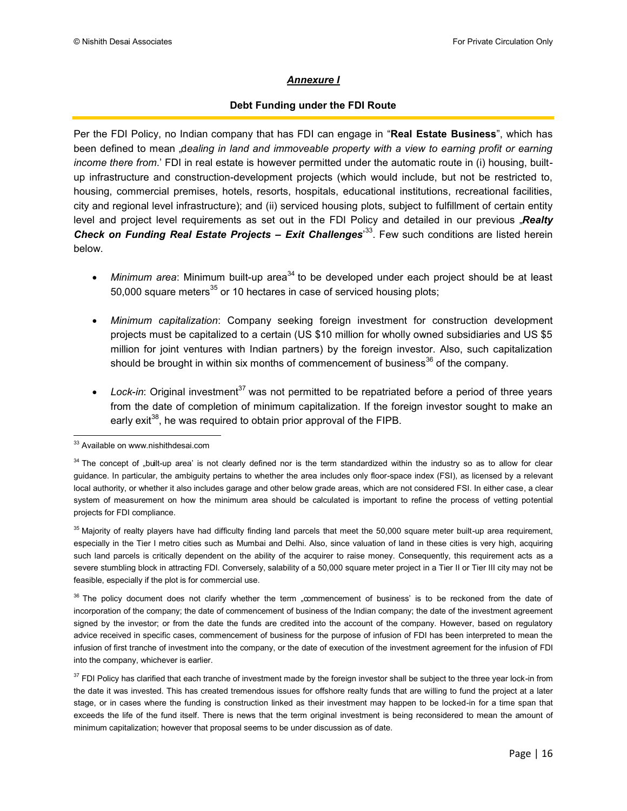#### *Annexure I*

#### **Debt Funding under the FDI Route**

Per the FDI Policy, no Indian company that has FDI can engage in "**Real Estate Business**", which has been defined to mean dealing in land and immoveable property with a view to earning profit or earning *income there from*." FDI in real estate is however permitted under the automatic route in (i) housing, builtup infrastructure and construction-development projects (which would include, but not be restricted to, housing, commercial premises, hotels, resorts, hospitals, educational institutions, recreational facilities, city and regional level infrastructure); and (ii) serviced housing plots, subject to fulfillment of certain entity level and project level requirements as set out in the FDI Policy and detailed in our previous "Realty Check on Funding Real Estate Projects - Exit Challenges<sup>33</sup>. Few such conditions are listed herein below.

- Minimum area: Minimum built-up area<sup>34</sup> to be developed under each project should be at least 50,000 square meters $^{35}$  or 10 hectares in case of serviced housing plots;
- *Minimum capitalization*: Company seeking foreign investment for construction development projects must be capitalized to a certain (US \$10 million for wholly owned subsidiaries and US \$5 million for joint ventures with Indian partners) by the foreign investor. Also, such capitalization should be brought in within six months of commencement of business<sup>36</sup> of the company.
- *Lock-in*: Original investment<sup>37</sup> was not permitted to be repatriated before a period of three years from the date of completion of minimum capitalization. If the foreign investor sought to make an early exit<sup>38</sup>, he was required to obtain prior approval of the FIPB.

 $\overline{\phantom{a}}$ <sup>33</sup> Available on www.nishithdesai.com

<sup>&</sup>lt;sup>34</sup> The concept of "built-up area' is not clearly defined nor is the term standardized within the industry so as to allow for clear guidance. In particular, the ambiguity pertains to whether the area includes only floor-space index (FSI), as licensed by a relevant local authority, or whether it also includes garage and other below grade areas, which are not considered FSI. In either case, a clear system of measurement on how the minimum area should be calculated is important to refine the process of vetting potential projects for FDI compliance.

<sup>&</sup>lt;sup>35</sup> Majority of realty players have had difficulty finding land parcels that meet the 50,000 square meter built-up area requirement, especially in the Tier I metro cities such as Mumbai and Delhi. Also, since valuation of land in these cities is very high, acquiring such land parcels is critically dependent on the ability of the acquirer to raise money. Consequently, this requirement acts as a severe stumbling block in attracting FDI. Conversely, salability of a 50,000 square meter project in a Tier II or Tier III city may not be feasible, especially if the plot is for commercial use.

 $36$  The policy document does not clarify whether the term "commencement of business' is to be reckoned from the date of incorporation of the company; the date of commencement of business of the Indian company; the date of the investment agreement signed by the investor; or from the date the funds are credited into the account of the company. However, based on regulatory advice received in specific cases, commencement of business for the purpose of infusion of FDI has been interpreted to mean the infusion of first tranche of investment into the company, or the date of execution of the investment agreement for the infusion of FDI into the company, whichever is earlier.

 $37$  FDI Policy has clarified that each tranche of investment made by the foreign investor shall be subject to the three year lock-in from the date it was invested. This has created tremendous issues for offshore realty funds that are willing to fund the project at a later stage, or in cases where the funding is construction linked as their investment may happen to be locked-in for a time span that exceeds the life of the fund itself. There is news that the term original investment is being reconsidered to mean the amount of minimum capitalization; however that proposal seems to be under discussion as of date.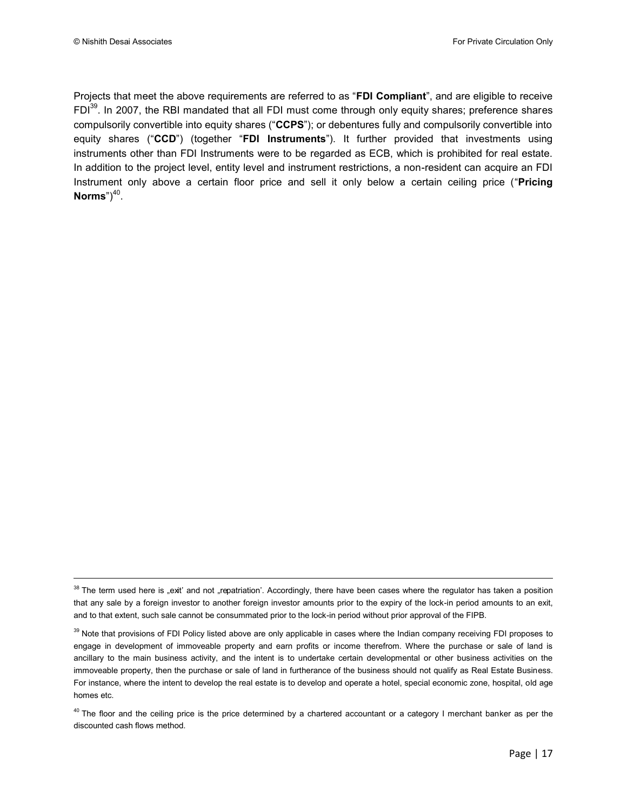l

Projects that meet the above requirements are referred to as "**FDI Compliant**", and are eligible to receive FDI<sup>39</sup>. In 2007, the RBI mandated that all FDI must come through only equity shares; preference shares compulsorily convertible into equity shares ("**CCPS**"); or debentures fully and compulsorily convertible into equity shares ("**CCD**") (together "**FDI Instruments**"). It further provided that investments using instruments other than FDI Instruments were to be regarded as ECB, which is prohibited for real estate. In addition to the project level, entity level and instrument restrictions, a non-resident can acquire an FDI Instrument only above a certain floor price and sell it only below a certain ceiling price ("**Pricing**   $\mathsf{Norms}^{"})^{40}$ .

<sup>38</sup> The term used here is "exit' and not "repatriation'. Accordingly, there have been cases where the regulator has taken a position that any sale by a foreign investor to another foreign investor amounts prior to the expiry of the lock-in period amounts to an exit, and to that extent, such sale cannot be consummated prior to the lock-in period without prior approval of the FIPB.

<sup>&</sup>lt;sup>39</sup> Note that provisions of FDI Policy listed above are only applicable in cases where the Indian company receiving FDI proposes to engage in development of immoveable property and earn profits or income therefrom. Where the purchase or sale of land is ancillary to the main business activity, and the intent is to undertake certain developmental or other business activities on the immoveable property, then the purchase or sale of land in furtherance of the business should not qualify as Real Estate Business. For instance, where the intent to develop the real estate is to develop and operate a hotel, special economic zone, hospital, old age homes etc.

 $40$  The floor and the ceiling price is the price determined by a chartered accountant or a category I merchant banker as per the discounted cash flows method.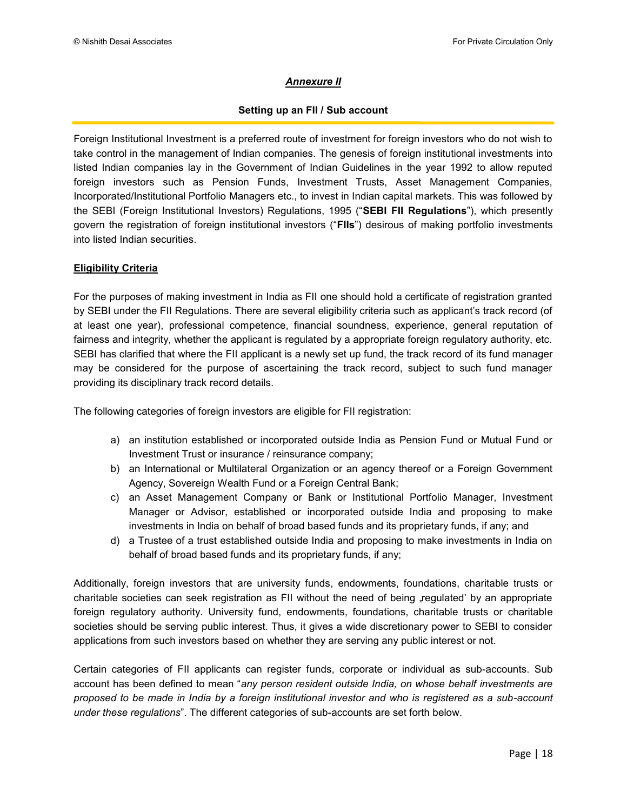#### *Annexure II*

#### **Setting up an FII / Sub account**

Foreign Institutional Investment is a preferred route of investment for foreign investors who do not wish to take control in the management of Indian companies. The genesis of foreign institutional investments into listed Indian companies lay in the Government of Indian Guidelines in the year 1992 to allow reputed foreign investors such as Pension Funds, Investment Trusts, Asset Management Companies, Incorporated/Institutional Portfolio Managers etc., to invest in Indian capital markets. This was followed by the SEBI (Foreign Institutional Investors) Regulations, 1995 ("**SEBI FII Regulations**"), which presently govern the registration of foreign institutional investors ("**FIIs**") desirous of making portfolio investments into listed Indian securities.

#### **Eligibility Criteria**

For the purposes of making investment in India as FII one should hold a certificate of registration granted by SEBI under the FII Regulations. There are several eligibility criteria such as applicant"s track record (of at least one year), professional competence, financial soundness, experience, general reputation of fairness and integrity, whether the applicant is regulated by a appropriate foreign regulatory authority, etc. SEBI has clarified that where the FII applicant is a newly set up fund, the track record of its fund manager may be considered for the purpose of ascertaining the track record, subject to such fund manager providing its disciplinary track record details.

The following categories of foreign investors are eligible for FII registration:

- a) an institution established or incorporated outside India as Pension Fund or Mutual Fund or Investment Trust or insurance / reinsurance company;
- b) an International or Multilateral Organization or an agency thereof or a Foreign Government Agency, Sovereign Wealth Fund or a Foreign Central Bank;
- c) an Asset Management Company or Bank or Institutional Portfolio Manager, Investment Manager or Advisor, established or incorporated outside India and proposing to make investments in India on behalf of broad based funds and its proprietary funds, if any; and
- d) a Trustee of a trust established outside India and proposing to make investments in India on behalf of broad based funds and its proprietary funds, if any;

Additionally, foreign investors that are university funds, endowments, foundations, charitable trusts or charitable societies can seek registration as FII without the need of being regulated' by an appropriate foreign regulatory authority. University fund, endowments, foundations, charitable trusts or charitable societies should be serving public interest. Thus, it gives a wide discretionary power to SEBI to consider applications from such investors based on whether they are serving any public interest or not.

Certain categories of FII applicants can register funds, corporate or individual as sub-accounts. Sub account has been defined to mean "*any person resident outside India, on whose behalf investments are proposed to be made in India by a foreign institutional investor and who is registered as a sub-account under these regulations*". The different categories of sub-accounts are set forth below.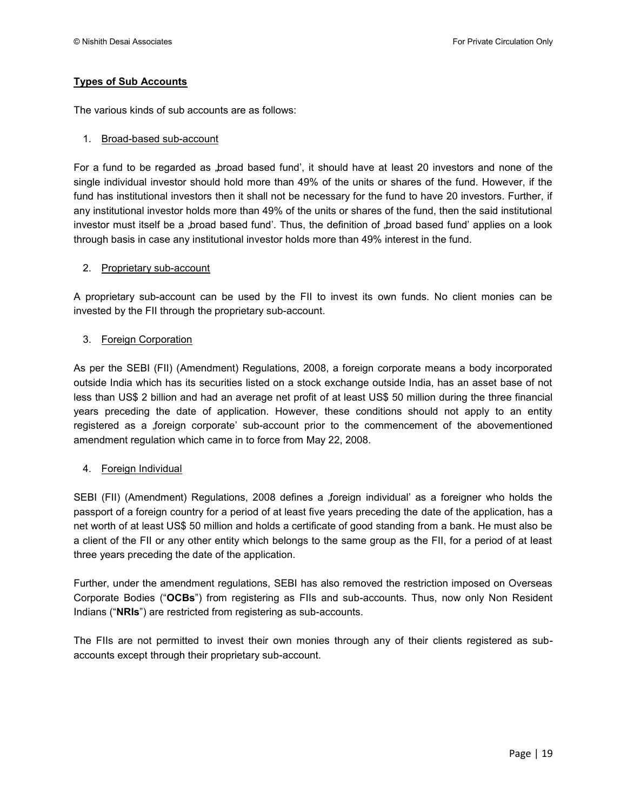#### **Types of Sub Accounts**

The various kinds of sub accounts are as follows:

#### 1. Broad-based sub-account

For a fund to be regarded as , broad based fund', it should have at least 20 investors and none of the single individual investor should hold more than 49% of the units or shares of the fund. However, if the fund has institutional investors then it shall not be necessary for the fund to have 20 investors. Further, if any institutional investor holds more than 49% of the units or shares of the fund, then the said institutional investor must itself be a "broad based fund'. Thus, the definition of "broad based fund' applies on a look through basis in case any institutional investor holds more than 49% interest in the fund.

#### 2. Proprietary sub-account

A proprietary sub-account can be used by the FII to invest its own funds. No client monies can be invested by the FII through the proprietary sub-account.

#### 3. Foreign Corporation

As per the SEBI (FII) (Amendment) Regulations, 2008, a foreign corporate means a body incorporated outside India which has its securities listed on a stock exchange outside India, has an asset base of not less than US\$ 2 billion and had an average net profit of at least US\$ 50 million during the three financial years preceding the date of application. However, these conditions should not apply to an entity registered as a foreign corporate' sub-account prior to the commencement of the abovementioned amendment regulation which came in to force from May 22, 2008.

#### 4. Foreign Individual

SEBI (FII) (Amendment) Regulations, 2008 defines a foreign individual' as a foreigner who holds the passport of a foreign country for a period of at least five years preceding the date of the application, has a net worth of at least US\$ 50 million and holds a certificate of good standing from a bank. He must also be a client of the FII or any other entity which belongs to the same group as the FII, for a period of at least three years preceding the date of the application.

Further, under the amendment regulations, SEBI has also removed the restriction imposed on Overseas Corporate Bodies ("**OCBs**") from registering as FIIs and sub-accounts. Thus, now only Non Resident Indians ("**NRIs**") are restricted from registering as sub-accounts.

The FIIs are not permitted to invest their own monies through any of their clients registered as subaccounts except through their proprietary sub-account.